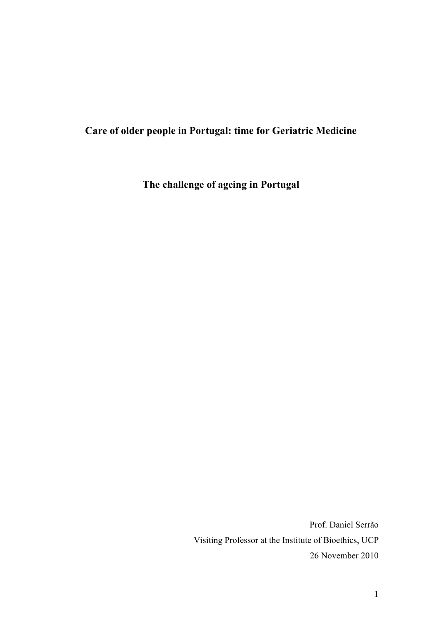## **Care of older people in Portugal: time for Geriatric Medicine**

**The challenge of ageing in Portugal** 

Prof. Daniel Serrão Visiting Professor at the Institute of Bioethics, UCP 26 November 2010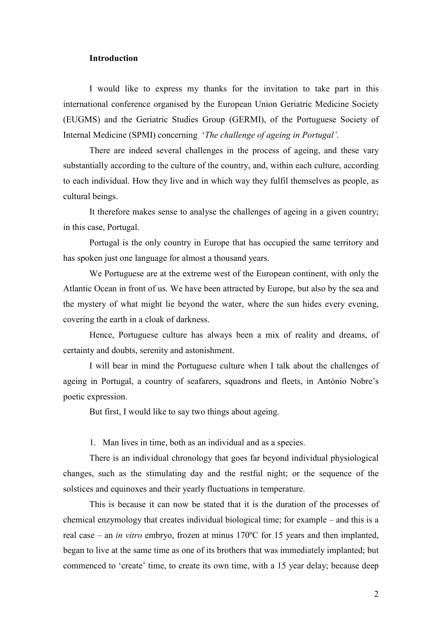## **Introduction**

 I would like to express my thanks for the invitation to take part in this international conference organised by the European Union Geriatric Medicine Society (EUGMS) and the Geriatric Studies Group (GERMI), of the Portuguese Society of Internal Medicine (SPMI) concerning '*The challenge of ageing in Portugal'*.

 There are indeed several challenges in the process of ageing, and these vary substantially according to the culture of the country, and, within each culture, according to each individual. How they live and in which way they fulfil themselves as people, as cultural beings.

 It therefore makes sense to analyse the challenges of ageing in a given country; in this case, Portugal.

 Portugal is the only country in Europe that has occupied the same territory and has spoken just one language for almost a thousand years.

 We Portuguese are at the extreme west of the European continent, with only the Atlantic Ocean in front of us. We have been attracted by Europe, but also by the sea and the mystery of what might lie beyond the water, where the sun hides every evening, covering the earth in a cloak of darkness.

 Hence, Portuguese culture has always been a mix of reality and dreams, of certainty and doubts, serenity and astonishment.

 I will bear in mind the Portuguese culture when I talk about the challenges of ageing in Portugal, a country of seafarers, squadrons and fleets, in António Nobre's poetic expression.

But first, I would like to say two things about ageing.

1. Man lives in time, both as an individual and as a species.

 There is an individual chronology that goes far beyond individual physiological changes, such as the stimulating day and the restful night; or the sequence of the solstices and equinoxes and their yearly fluctuations in temperature.

 This is because it can now be stated that it is the duration of the processes of chemical enzymology that creates individual biological time; for example – and this is a real case – an *in vitro* embryo, frozen at minus 170ºC for 15 years and then implanted, began to live at the same time as one of its brothers that was immediately implanted; but commenced to 'create' time, to create its own time, with a 15 year delay; because deep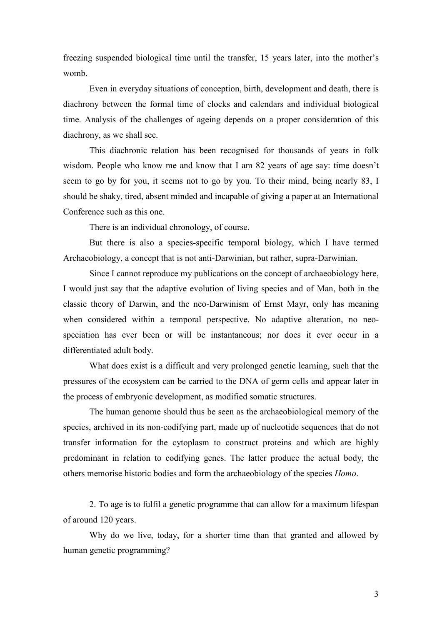freezing suspended biological time until the transfer, 15 years later, into the mother's womb.

 Even in everyday situations of conception, birth, development and death, there is diachrony between the formal time of clocks and calendars and individual biological time. Analysis of the challenges of ageing depends on a proper consideration of this diachrony, as we shall see.

 This diachronic relation has been recognised for thousands of years in folk wisdom. People who know me and know that I am 82 years of age say: time doesn't seem to go by for you, it seems not to go by you. To their mind, being nearly 83, I should be shaky, tired, absent minded and incapable of giving a paper at an International Conference such as this one.

There is an individual chronology, of course.

 But there is also a species-specific temporal biology, which I have termed Archaeobiology, a concept that is not anti-Darwinian, but rather, supra-Darwinian.

 Since I cannot reproduce my publications on the concept of archaeobiology here, I would just say that the adaptive evolution of living species and of Man, both in the classic theory of Darwin, and the neo-Darwinism of Ernst Mayr, only has meaning when considered within a temporal perspective. No adaptive alteration, no neospeciation has ever been or will be instantaneous; nor does it ever occur in a differentiated adult body.

 What does exist is a difficult and very prolonged genetic learning, such that the pressures of the ecosystem can be carried to the DNA of germ cells and appear later in the process of embryonic development, as modified somatic structures.

 The human genome should thus be seen as the archaeobiological memory of the species, archived in its non-codifying part, made up of nucleotide sequences that do not transfer information for the cytoplasm to construct proteins and which are highly predominant in relation to codifying genes. The latter produce the actual body, the others memorise historic bodies and form the archaeobiology of the species *Homo*.

 2. To age is to fulfil a genetic programme that can allow for a maximum lifespan of around 120 years.

 Why do we live, today, for a shorter time than that granted and allowed by human genetic programming?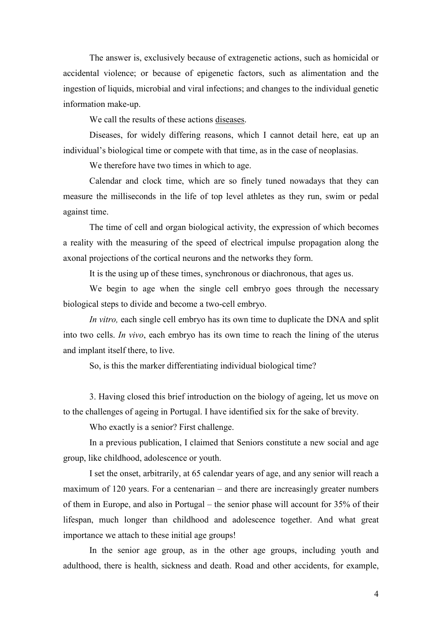The answer is, exclusively because of extragenetic actions, such as homicidal or accidental violence; or because of epigenetic factors, such as alimentation and the ingestion of liquids, microbial and viral infections; and changes to the individual genetic information make-up.

We call the results of these actions diseases.

 Diseases, for widely differing reasons, which I cannot detail here, eat up an individual's biological time or compete with that time, as in the case of neoplasias.

We therefore have two times in which to age.

 Calendar and clock time, which are so finely tuned nowadays that they can measure the milliseconds in the life of top level athletes as they run, swim or pedal against time.

 The time of cell and organ biological activity, the expression of which becomes a reality with the measuring of the speed of electrical impulse propagation along the axonal projections of the cortical neurons and the networks they form.

It is the using up of these times, synchronous or diachronous, that ages us.

 We begin to age when the single cell embryo goes through the necessary biological steps to divide and become a two-cell embryo.

*In vitro,* each single cell embryo has its own time to duplicate the DNA and split into two cells. *In vivo*, each embryo has its own time to reach the lining of the uterus and implant itself there, to live.

So, is this the marker differentiating individual biological time?

 3. Having closed this brief introduction on the biology of ageing, let us move on to the challenges of ageing in Portugal. I have identified six for the sake of brevity.

Who exactly is a senior? First challenge.

 In a previous publication, I claimed that Seniors constitute a new social and age group, like childhood, adolescence or youth.

 I set the onset, arbitrarily, at 65 calendar years of age, and any senior will reach a maximum of 120 years. For a centenarian – and there are increasingly greater numbers of them in Europe, and also in Portugal – the senior phase will account for 35% of their lifespan, much longer than childhood and adolescence together. And what great importance we attach to these initial age groups!

 In the senior age group, as in the other age groups, including youth and adulthood, there is health, sickness and death. Road and other accidents, for example,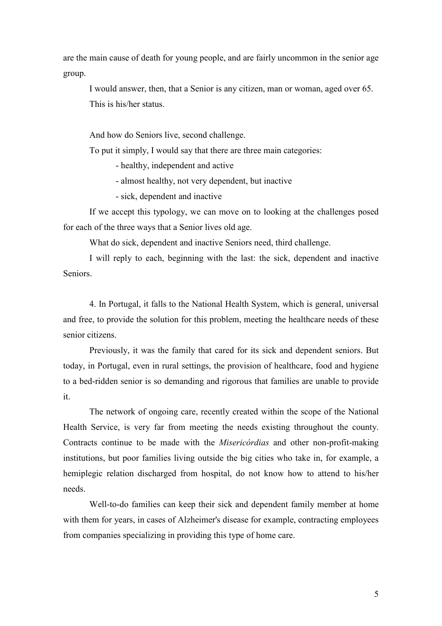are the main cause of death for young people, and are fairly uncommon in the senior age group.

 I would answer, then, that a Senior is any citizen, man or woman, aged over 65. This is his/her status.

And how do Seniors live, second challenge.

To put it simply, I would say that there are three main categories:

- healthy, independent and active

- almost healthy, not very dependent, but inactive

- sick, dependent and inactive

 If we accept this typology, we can move on to looking at the challenges posed for each of the three ways that a Senior lives old age.

What do sick, dependent and inactive Seniors need, third challenge.

 I will reply to each, beginning with the last: the sick, dependent and inactive Seniors.

 4. In Portugal, it falls to the National Health System, which is general, universal and free, to provide the solution for this problem, meeting the healthcare needs of these senior citizens.

 Previously, it was the family that cared for its sick and dependent seniors. But today, in Portugal, even in rural settings, the provision of healthcare, food and hygiene to a bed-ridden senior is so demanding and rigorous that families are unable to provide it.

 The network of ongoing care, recently created within the scope of the National Health Service, is very far from meeting the needs existing throughout the county. Contracts continue to be made with the *Misericórdias* and other non-profit-making institutions, but poor families living outside the big cities who take in, for example, a hemiplegic relation discharged from hospital, do not know how to attend to his/her needs.

 Well-to-do families can keep their sick and dependent family member at home with them for years, in cases of Alzheimer's disease for example, contracting employees from companies specializing in providing this type of home care.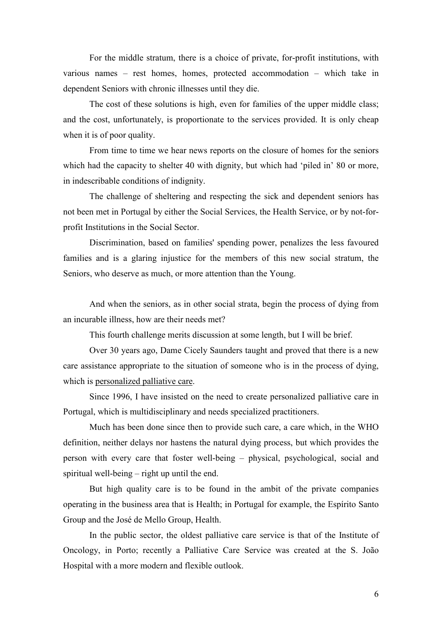For the middle stratum, there is a choice of private, for-profit institutions, with various names – rest homes, homes, protected accommodation – which take in dependent Seniors with chronic illnesses until they die.

 The cost of these solutions is high, even for families of the upper middle class; and the cost, unfortunately, is proportionate to the services provided. It is only cheap when it is of poor quality.

 From time to time we hear news reports on the closure of homes for the seniors which had the capacity to shelter 40 with dignity, but which had 'piled in' 80 or more, in indescribable conditions of indignity.

 The challenge of sheltering and respecting the sick and dependent seniors has not been met in Portugal by either the Social Services, the Health Service, or by not-forprofit Institutions in the Social Sector.

 Discrimination, based on families' spending power, penalizes the less favoured families and is a glaring injustice for the members of this new social stratum, the Seniors, who deserve as much, or more attention than the Young.

 And when the seniors, as in other social strata, begin the process of dying from an incurable illness, how are their needs met?

This fourth challenge merits discussion at some length, but I will be brief.

 Over 30 years ago, Dame Cicely Saunders taught and proved that there is a new care assistance appropriate to the situation of someone who is in the process of dying, which is personalized palliative care.

 Since 1996, I have insisted on the need to create personalized palliative care in Portugal, which is multidisciplinary and needs specialized practitioners.

 Much has been done since then to provide such care, a care which, in the WHO definition, neither delays nor hastens the natural dying process, but which provides the person with every care that foster well-being – physical, psychological, social and spiritual well-being – right up until the end.

 But high quality care is to be found in the ambit of the private companies operating in the business area that is Health; in Portugal for example, the Espírito Santo Group and the José de Mello Group, Health.

 In the public sector, the oldest palliative care service is that of the Institute of Oncology, in Porto; recently a Palliative Care Service was created at the S. João Hospital with a more modern and flexible outlook.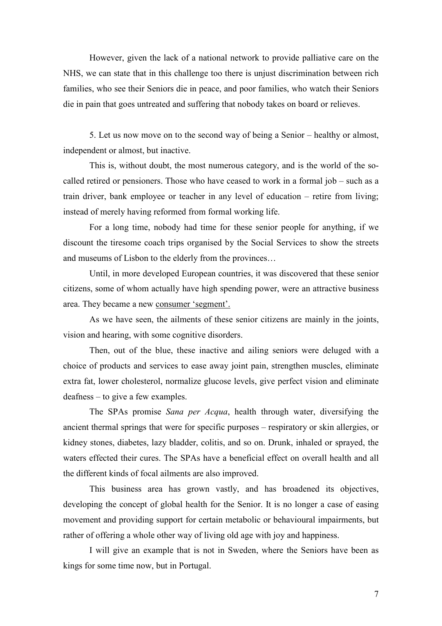However, given the lack of a national network to provide palliative care on the NHS, we can state that in this challenge too there is unjust discrimination between rich families, who see their Seniors die in peace, and poor families, who watch their Seniors die in pain that goes untreated and suffering that nobody takes on board or relieves.

 5. Let us now move on to the second way of being a Senior – healthy or almost, independent or almost, but inactive.

 This is, without doubt, the most numerous category, and is the world of the socalled retired or pensioners. Those who have ceased to work in a formal job – such as a train driver, bank employee or teacher in any level of education – retire from living; instead of merely having reformed from formal working life.

 For a long time, nobody had time for these senior people for anything, if we discount the tiresome coach trips organised by the Social Services to show the streets and museums of Lisbon to the elderly from the provinces…

 Until, in more developed European countries, it was discovered that these senior citizens, some of whom actually have high spending power, were an attractive business area. They became a new consumer 'segment'.

 As we have seen, the ailments of these senior citizens are mainly in the joints, vision and hearing, with some cognitive disorders.

 Then, out of the blue, these inactive and ailing seniors were deluged with a choice of products and services to ease away joint pain, strengthen muscles, eliminate extra fat, lower cholesterol, normalize glucose levels, give perfect vision and eliminate deafness – to give a few examples.

 The SPAs promise *Sana per Acqua*, health through water, diversifying the ancient thermal springs that were for specific purposes – respiratory or skin allergies, or kidney stones, diabetes, lazy bladder, colitis, and so on. Drunk, inhaled or sprayed, the waters effected their cures. The SPAs have a beneficial effect on overall health and all the different kinds of focal ailments are also improved.

 This business area has grown vastly, and has broadened its objectives, developing the concept of global health for the Senior. It is no longer a case of easing movement and providing support for certain metabolic or behavioural impairments, but rather of offering a whole other way of living old age with joy and happiness.

 I will give an example that is not in Sweden, where the Seniors have been as kings for some time now, but in Portugal.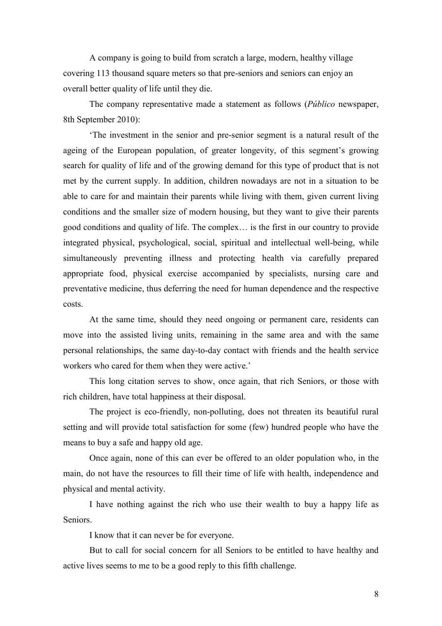A company is going to build from scratch a large, modern, healthy village covering 113 thousand square meters so that pre-seniors and seniors can enjoy an overall better quality of life until they die.

 The company representative made a statement as follows (*Público* newspaper, 8th September 2010):

 'The investment in the senior and pre-senior segment is a natural result of the ageing of the European population, of greater longevity, of this segment's growing search for quality of life and of the growing demand for this type of product that is not met by the current supply. In addition, children nowadays are not in a situation to be able to care for and maintain their parents while living with them, given current living conditions and the smaller size of modern housing, but they want to give their parents good conditions and quality of life. The complex… is the first in our country to provide integrated physical, psychological, social, spiritual and intellectual well-being, while simultaneously preventing illness and protecting health via carefully prepared appropriate food, physical exercise accompanied by specialists, nursing care and preventative medicine, thus deferring the need for human dependence and the respective costs.

 At the same time, should they need ongoing or permanent care, residents can move into the assisted living units, remaining in the same area and with the same personal relationships, the same day-to-day contact with friends and the health service workers who cared for them when they were active.'

 This long citation serves to show, once again, that rich Seniors, or those with rich children, have total happiness at their disposal.

 The project is eco-friendly, non-polluting, does not threaten its beautiful rural setting and will provide total satisfaction for some (few) hundred people who have the means to buy a safe and happy old age.

 Once again, none of this can ever be offered to an older population who, in the main, do not have the resources to fill their time of life with health, independence and physical and mental activity.

 I have nothing against the rich who use their wealth to buy a happy life as Seniors.

I know that it can never be for everyone.

 But to call for social concern for all Seniors to be entitled to have healthy and active lives seems to me to be a good reply to this fifth challenge.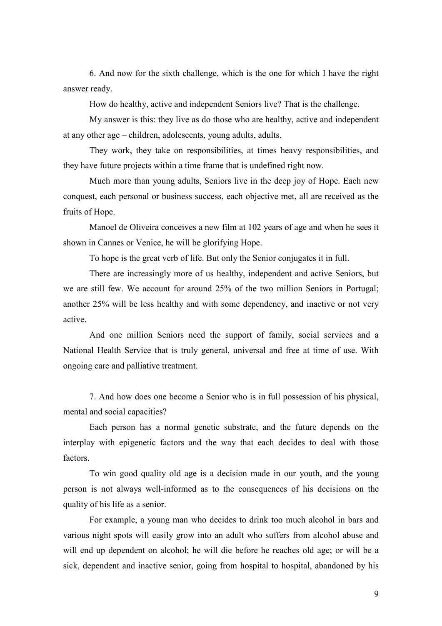6. And now for the sixth challenge, which is the one for which I have the right answer ready.

How do healthy, active and independent Seniors live? That is the challenge.

 My answer is this: they live as do those who are healthy, active and independent at any other age – children, adolescents, young adults, adults.

 They work, they take on responsibilities, at times heavy responsibilities, and they have future projects within a time frame that is undefined right now.

 Much more than young adults, Seniors live in the deep joy of Hope. Each new conquest, each personal or business success, each objective met, all are received as the fruits of Hope.

 Manoel de Oliveira conceives a new film at 102 years of age and when he sees it shown in Cannes or Venice, he will be glorifying Hope.

To hope is the great verb of life. But only the Senior conjugates it in full.

 There are increasingly more of us healthy, independent and active Seniors, but we are still few. We account for around 25% of the two million Seniors in Portugal; another 25% will be less healthy and with some dependency, and inactive or not very active.

 And one million Seniors need the support of family, social services and a National Health Service that is truly general, universal and free at time of use. With ongoing care and palliative treatment.

 7. And how does one become a Senior who is in full possession of his physical, mental and social capacities?

 Each person has a normal genetic substrate, and the future depends on the interplay with epigenetic factors and the way that each decides to deal with those factors.

 To win good quality old age is a decision made in our youth, and the young person is not always well-informed as to the consequences of his decisions on the quality of his life as a senior.

 For example, a young man who decides to drink too much alcohol in bars and various night spots will easily grow into an adult who suffers from alcohol abuse and will end up dependent on alcohol; he will die before he reaches old age; or will be a sick, dependent and inactive senior, going from hospital to hospital, abandoned by his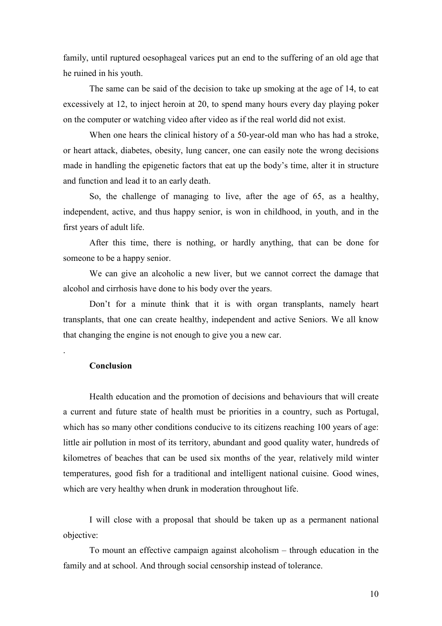family, until ruptured oesophageal varices put an end to the suffering of an old age that he ruined in his youth.

 The same can be said of the decision to take up smoking at the age of 14, to eat excessively at 12, to inject heroin at 20, to spend many hours every day playing poker on the computer or watching video after video as if the real world did not exist.

 When one hears the clinical history of a 50-year-old man who has had a stroke, or heart attack, diabetes, obesity, lung cancer, one can easily note the wrong decisions made in handling the epigenetic factors that eat up the body's time, alter it in structure and function and lead it to an early death.

 So, the challenge of managing to live, after the age of 65, as a healthy, independent, active, and thus happy senior, is won in childhood, in youth, and in the first years of adult life.

 After this time, there is nothing, or hardly anything, that can be done for someone to be a happy senior.

 We can give an alcoholic a new liver, but we cannot correct the damage that alcohol and cirrhosis have done to his body over the years.

 Don't for a minute think that it is with organ transplants, namely heart transplants, that one can create healthy, independent and active Seniors. We all know that changing the engine is not enough to give you a new car.

## **Conclusion**

.

 Health education and the promotion of decisions and behaviours that will create a current and future state of health must be priorities in a country, such as Portugal, which has so many other conditions conducive to its citizens reaching 100 years of age: little air pollution in most of its territory, abundant and good quality water, hundreds of kilometres of beaches that can be used six months of the year, relatively mild winter temperatures, good fish for a traditional and intelligent national cuisine. Good wines, which are very healthy when drunk in moderation throughout life.

 I will close with a proposal that should be taken up as a permanent national objective:

 To mount an effective campaign against alcoholism – through education in the family and at school. And through social censorship instead of tolerance.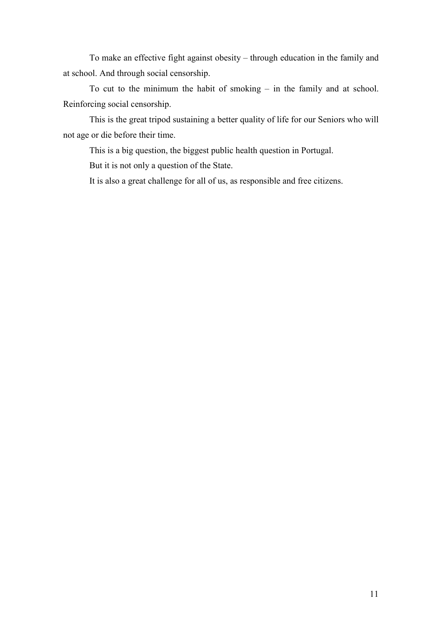To make an effective fight against obesity – through education in the family and at school. And through social censorship.

 To cut to the minimum the habit of smoking – in the family and at school. Reinforcing social censorship.

 This is the great tripod sustaining a better quality of life for our Seniors who will not age or die before their time.

This is a big question, the biggest public health question in Portugal.

But it is not only a question of the State.

It is also a great challenge for all of us, as responsible and free citizens.